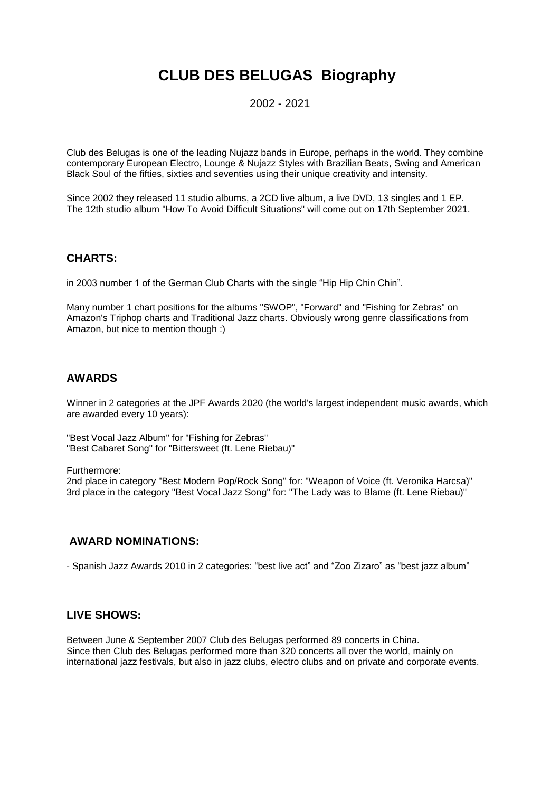# **CLUB DES BELUGAS Biography**

2002 - 2021

Club des Belugas is one of the leading Nujazz bands in Europe, perhaps in the world. They combine contemporary European Electro, Lounge & Nujazz Styles with Brazilian Beats, Swing and American Black Soul of the fifties, sixties and seventies using their unique creativity and intensity.

Since 2002 they released 11 studio albums, a 2CD live album, a live DVD, 13 singles and 1 EP. The 12th studio album "How To Avoid Difficult Situations" will come out on 17th September 2021.

### **CHARTS:**

in 2003 number 1 of the German Club Charts with the single "Hip Hip Chin Chin".

Many number 1 chart positions for the albums "SWOP", "Forward" and "Fishing for Zebras" on Amazon's Triphop charts and Traditional Jazz charts. Obviously wrong genre classifications from Amazon, but nice to mention though :)

### **AWARDS**

Winner in 2 categories at the JPF Awards 2020 (the world's largest independent music awards, which are awarded every 10 years):

"Best Vocal Jazz Album" for "Fishing for Zebras" "Best Cabaret Song" for "Bittersweet (ft. Lene Riebau)"

Furthermore:

2nd place in category "Best Modern Pop/Rock Song" for: "Weapon of Voice (ft. Veronika Harcsa)" 3rd place in the category "Best Vocal Jazz Song" for: "The Lady was to Blame (ft. Lene Riebau)"

## **AWARD NOMINATIONS:**

- Spanish Jazz Awards 2010 in 2 categories: "best live act" and "Zoo Zizaro" as "best jazz album"

#### **LIVE SHOWS:**

Between June & September 2007 Club des Belugas performed 89 concerts in China. Since then Club des Belugas performed more than 320 concerts all over the world, mainly on international jazz festivals, but also in jazz clubs, electro clubs and on private and corporate events.